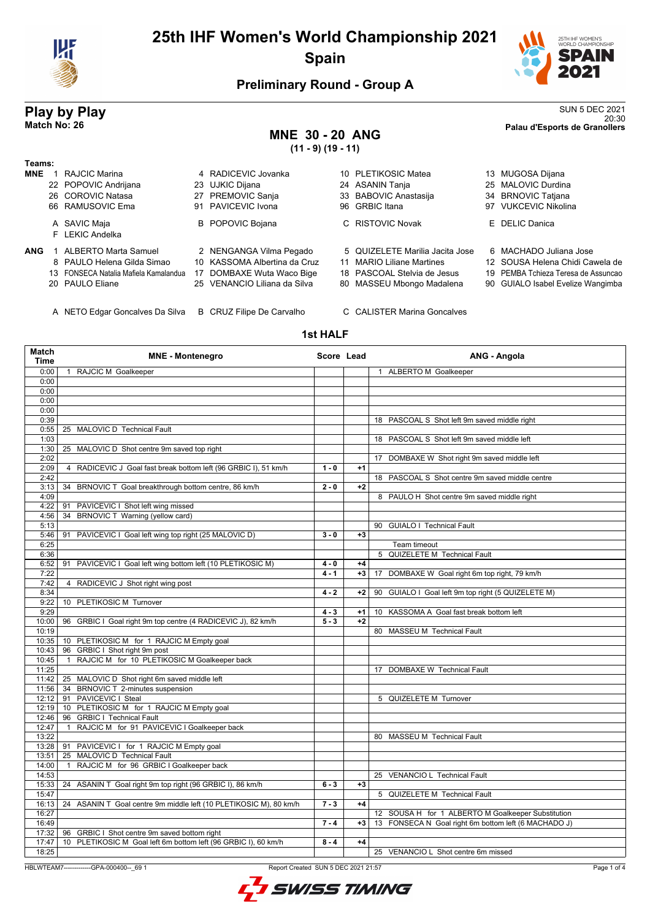



## **Preliminary Round - Group A**

## **MNE 30 - 20 ANG (11 - 9) (19 - 11)**

**Play by Play** SUN 5 DEC 2021 20:30 **Match No: 26 Palau d'Esports de Granollers**

| Teams:     |                                       |                              |                                 |                                     |
|------------|---------------------------------------|------------------------------|---------------------------------|-------------------------------------|
| <b>MNE</b> | RAJCIC Marina                         | 4 RADICEVIC Jovanka          | 10 PLETIKOSIC Matea             | 13 MUGOSA Dijana                    |
|            | 22 POPOVIC Andrijana                  | 23 UJKIC Dijana              | 24 ASANIN Tanja                 | 25 MALOVIC Durdina                  |
|            | 26 COROVIC Natasa                     | 27 PREMOVIC Sanja            | 33 BABOVIC Anastasija           | 34 BRNOVIC Tatjana                  |
|            | 66 RAMUSOVIC Ema                      | 91 PAVICEVIC Ivona           | 96 GRBIC Itana                  | 97 VUKCEVIC Nikolina                |
|            | A SAVIC Maja<br>F LEKIC Andelka       | <b>B</b> POPOVIC Bojana      | C RISTOVIC Novak                | E DELIC Danica                      |
| <b>ANG</b> | <b>ALBERTO Marta Samuel</b>           | 2 NENGANGA Vilma Pegado      | 5 QUIZELETE Marilia Jacita Jose | 6 MACHADO Juliana Jose              |
|            | 8 PAULO Helena Gilda Simao            | 10 KASSOMA Albertina da Cruz | 11 MARIO Liliane Martines       | 12 SOUSA Helena Chidi Cawela de     |
|            | 13 FONSECA Natalia Mafiela Kamalandua | 17 DOMBAXE Wuta Waco Bige    | 18 PASCOAL Stelvia de Jesus     | 19 PEMBA Tchieza Teresa de Assuncad |
|            | 20 PAULO Eliane                       | 25 VENANCIO Liliana da Silva | 80 MASSEU Mbongo Madalena       | 90 GUIALO Isabel Evelize Wangimba   |

A NETO Edgar Goncalves Da Silva B CRUZ Filipe De Carvalho C CALISTER Marina Goncalves

## **1st HALF**

| Match<br><b>Time</b> | <b>MNE - Montenegro</b>                                           | Score Lead |      | ANG - Angola                                         |
|----------------------|-------------------------------------------------------------------|------------|------|------------------------------------------------------|
| 0:00                 | 1 RAJCIC M Goalkeeper                                             |            |      | 1 ALBERTO M Goalkeeper                               |
| 0:00                 |                                                                   |            |      |                                                      |
| 0:00                 |                                                                   |            |      |                                                      |
| 0:00                 |                                                                   |            |      |                                                      |
| 0:00                 |                                                                   |            |      |                                                      |
| 0:39                 |                                                                   |            |      | 18 PASCOAL S Shot left 9m saved middle right         |
| 0:55                 | 25 MALOVIC D Technical Fault                                      |            |      |                                                      |
| 1:03                 |                                                                   |            |      | 18 PASCOAL S Shot left 9m saved middle left          |
| 1:30                 | 25 MALOVIC D Shot centre 9m saved top right                       |            |      |                                                      |
| 2:02                 |                                                                   |            |      | 17 DOMBAXE W Shot right 9m saved middle left         |
| 2:09                 | 4 RADICEVIC J Goal fast break bottom left (96 GRBIC I), 51 km/h   | $1 - 0$    | $+1$ |                                                      |
| 2:42                 |                                                                   |            |      | 18 PASCOAL S Shot centre 9m saved middle centre      |
| 3:13                 | 34 BRNOVIC T Goal breakthrough bottom centre, 86 km/h             | $2 - 0$    | $+2$ |                                                      |
| 4:09                 |                                                                   |            |      | 8 PAULO H Shot centre 9m saved middle right          |
| 4:22                 | 91 PAVICEVIC I Shot left wing missed                              |            |      |                                                      |
| 4:56                 | 34 BRNOVIC T Warning (yellow card)                                |            |      |                                                      |
| 5:13                 |                                                                   |            |      | 90 GUIALO I Technical Fault                          |
| 5:46                 | 91 PAVICEVIC I Goal left wing top right (25 MALOVIC D)            | $3 - 0$    | $+3$ |                                                      |
| 6:25                 |                                                                   |            |      | Team timeout                                         |
| 6:36                 |                                                                   |            |      | 5 QUIZELETE M Technical Fault                        |
| 6:52                 | 91 PAVICEVIC I Goal left wing bottom left (10 PLETIKOSIC M)       | $4 - 0$    | $+4$ |                                                      |
| 7:22                 |                                                                   | $4 - 1$    | $+3$ | 17 DOMBAXE W Goal right 6m top right, 79 km/h        |
| 7:42                 | 4 RADICEVIC J Shot right wing post                                |            |      |                                                      |
| 8:34                 |                                                                   | $4 - 2$    | $+2$ | 90 GUIALO I Goal left 9m top right (5 QUIZELETE M)   |
| 9:22                 | 10 PLETIKOSIC M Turnover                                          |            |      |                                                      |
| 9:29                 |                                                                   | $4 - 3$    | +1   | 10 KASSOMA A Goal fast break bottom left             |
| 10:00                | 96 GRBIC I Goal right 9m top centre (4 RADICEVIC J), 82 km/h      | $5 - 3$    | $+2$ |                                                      |
| 10:19                |                                                                   |            |      | 80 MASSEU M Technical Fault                          |
| 10:35                | 10 PLETIKOSIC M for 1 RAJCIC M Empty goal                         |            |      |                                                      |
| 10:43                | 96 GRBIC I Shot right 9m post                                     |            |      |                                                      |
| 10:45                | 1 RAJCIC M for 10 PLETIKOSIC M Goalkeeper back                    |            |      |                                                      |
| 11:25                |                                                                   |            |      | 17 DOMBAXE W Technical Fault                         |
| 11:42                | 25 MALOVIC D Shot right 6m saved middle left                      |            |      |                                                      |
| 11:56                | 34 BRNOVIC T 2-minutes suspension                                 |            |      |                                                      |
| 12:12                | 91 PAVICEVIC I Steal                                              |            |      | 5 QUIZELETE M Turnover                               |
| 12:19                | 10 PLETIKOSIC M for 1 RAJCIC M Empty goal                         |            |      |                                                      |
| 12:46                | 96 GRBIC I Technical Fault                                        |            |      |                                                      |
| 12:47                | 1 RAJCIC M for 91 PAVICEVIC I Goalkeeper back                     |            |      |                                                      |
| 13:22                |                                                                   |            |      | 80 MASSEU M Technical Fault                          |
| 13:28                | 91 PAVICEVIC I for 1 RAJCIC M Empty goal                          |            |      |                                                      |
| 13:51                | 25 MALOVIC D Technical Fault                                      |            |      |                                                      |
| 14:00                | 1 RAJCIC M for 96 GRBIC I Goalkeeper back                         |            |      |                                                      |
| 14:53                |                                                                   |            |      | 25 VENANCIO L Technical Fault                        |
| 15:33                | 24 ASANIN T Goal right 9m top right (96 GRBIC I), 86 km/h         | $6 - 3$    | $+3$ |                                                      |
| 15:47                |                                                                   |            |      | 5 QUIZELETE M Technical Fault                        |
| 16:13                | 24 ASANIN T Goal centre 9m middle left (10 PLETIKOSIC M), 80 km/h | $7 - 3$    | $+4$ |                                                      |
| 16:27                |                                                                   |            |      | 12 SOUSA H for 1 ALBERTO M Goalkeeper Substitution   |
| 16:49                |                                                                   | $7 - 4$    | $+3$ | 13 FONSECA N Goal right 6m bottom left (6 MACHADO J) |
| 17:32                | 96 GRBIC I Shot centre 9m saved bottom right                      |            |      |                                                      |
| 17:47                | 10 PLETIKOSIC M Goal left 6m bottom left (96 GRBIC I), 60 km/h    | $8 - 4$    | $+4$ |                                                      |
| 18:25                |                                                                   |            |      | 25 VENANCIO L Shot centre 6m missed                  |
|                      |                                                                   |            |      |                                                      |

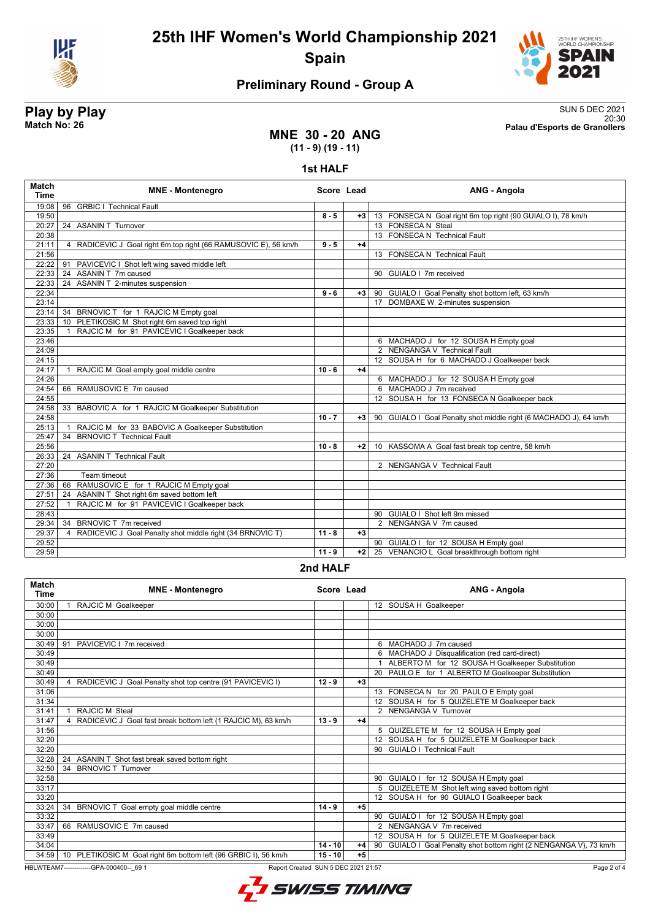



## **Preliminary Round - Group A**

**Play by Play**<br>Match No: 26<br>Palau d'Esports de Granollers 20:30 **Match No: 26 Palau d'Esports de Granollers**

## **MNE 30 - 20 ANG (11 - 9) (19 - 11)**

**1st HALF**

| Match<br><b>Time</b> | <b>MNE - Montenegro</b>                                         | Score Lead |      | ANG - Angola                                                      |
|----------------------|-----------------------------------------------------------------|------------|------|-------------------------------------------------------------------|
| 19:08                | <b>GRBIC I Technical Fault</b><br>96                            |            |      |                                                                   |
| 19:50                |                                                                 | $8 - 5$    | $+3$ | 13 FONSECA N Goal right 6m top right (90 GUIALO I), 78 km/h       |
| 20:27                | 24 ASANIN T Turnover                                            |            |      | 13 FONSECA N Steal                                                |
| 20:38                |                                                                 |            |      | 13 FONSECA N Technical Fault                                      |
| 21:11                | 4 RADICEVIC J Goal right 6m top right (66 RAMUSOVIC E), 56 km/h | $9 - 5$    | $+4$ |                                                                   |
| 21:56                |                                                                 |            |      | 13 FONSECA N Technical Fault                                      |
| 22:22                | 91 PAVICEVIC I Shot left wing saved middle left                 |            |      |                                                                   |
| 22:33                | ASANIN T 7m caused<br>24                                        |            |      | 90 GUIALO I 7m received                                           |
| 22:33                | 24 ASANIN T 2-minutes suspension                                |            |      |                                                                   |
| 22:34                |                                                                 | $9 - 6$    | $+3$ | 90 GUIALO I Goal Penalty shot bottom left, 63 km/h                |
| 23:14                |                                                                 |            |      | 17 DOMBAXE W 2-minutes suspension                                 |
| 23:14                | 34 BRNOVIC T for 1 RAJCIC M Empty goal                          |            |      |                                                                   |
| 23:33                | 10 PLETIKOSIC M Shot right 6m saved top right                   |            |      |                                                                   |
| 23:35                | 1 RAJCIC M for 91 PAVICEVIC I Goalkeeper back                   |            |      |                                                                   |
| 23:46                |                                                                 |            |      | 6 MACHADO J for 12 SOUSA H Empty goal                             |
| 24:09                |                                                                 |            |      | 2 NENGANGA V Technical Fault                                      |
| 24:15                |                                                                 |            |      | 12 SOUSA H for 6 MACHADO J Goalkeeper back                        |
| 24:17                | RAJCIC M Goal empty goal middle centre<br>$\mathbf{1}$          | $10 - 6$   | $+4$ |                                                                   |
| 24:26                |                                                                 |            |      | 6 MACHADO J for 12 SOUSA H Empty goal                             |
| 24:54                | 66 RAMUSOVIC E 7m caused                                        |            |      | 6 MACHADO J 7m received                                           |
| 24:55                |                                                                 |            |      | 12 SOUSA H for 13 FONSECA N Goalkeeper back                       |
| 24:58                | 33 BABOVIC A for 1 RAJCIC M Goalkeeper Substitution             |            |      |                                                                   |
| 24:58                |                                                                 | $10 - 7$   | +3   | 90 GUIALO I Goal Penalty shot middle right (6 MACHADO J), 64 km/h |
| 25:13                | RAJCIC M for 33 BABOVIC A Goalkeeper Substitution               |            |      |                                                                   |
| 25:47                | <b>BRNOVIC T Technical Fault</b><br>$\overline{34}$             |            |      |                                                                   |
| 25:56                |                                                                 | $10 - 8$   | $+2$ | 10 KASSOMA A Goal fast break top centre, 58 km/h                  |
| 26:33                | 24 ASANIN T Technical Fault                                     |            |      |                                                                   |
| 27:20                |                                                                 |            |      | 2 NENGANGA V Technical Fault                                      |
| 27:36                | Team timeout                                                    |            |      |                                                                   |
| 27:36                | RAMUSOVIC E for 1 RAJCIC M Empty goal<br>66                     |            |      |                                                                   |
| 27:51                | ASANIN T Shot right 6m saved bottom left<br>24                  |            |      |                                                                   |
| 27:52                | RAJCIC M for 91 PAVICEVIC I Goalkeeper back                     |            |      |                                                                   |
| 28:43                |                                                                 |            |      | 90 GUIALO I Shot left 9m missed                                   |
| 29:34                | BRNOVIC T 7m received<br>34                                     |            |      | 2 NENGANGA V 7m caused                                            |
| 29:37                | 4 RADICEVIC J Goal Penalty shot middle right (34 BRNOVIC T)     | $11 - 8$   | $+3$ |                                                                   |
| 29:52                |                                                                 |            |      | 90 GUIALO I for 12 SOUSA H Empty goal                             |
| 29:59                |                                                                 | $11 - 9$   | $+2$ | 25 VENANCIO L Goal breakthrough bottom right                      |
|                      |                                                                 |            |      |                                                                   |

### **2nd HALF**

| <b>Match</b><br><b>Time</b> | <b>MNE</b> - Montenegro                                         | Score Lead |      | ANG - Angola                                                       |
|-----------------------------|-----------------------------------------------------------------|------------|------|--------------------------------------------------------------------|
| 30:00                       | RAJCIC M Goalkeeper                                             |            |      | 12 SOUSA H Goalkeeper                                              |
| 30:00                       |                                                                 |            |      |                                                                    |
| 30:00                       |                                                                 |            |      |                                                                    |
| 30:00                       |                                                                 |            |      |                                                                    |
| 30:49                       | PAVICEVIC   7m received<br>91                                   |            |      | 6 MACHADO J 7m caused                                              |
| 30:49                       |                                                                 |            |      | 6 MACHADO J Disqualification (red card-direct)                     |
| 30:49                       |                                                                 |            |      | ALBERTO M for 12 SOUSA H Goalkeeper Substitution                   |
| 30:49                       |                                                                 |            |      | 20 PAULO E for 1 ALBERTO M Goalkeeper Substitution                 |
| 30:49                       | 4 RADICEVIC J Goal Penalty shot top centre (91 PAVICEVIC I)     | $12 - 9$   | $+3$ |                                                                    |
| 31:06                       |                                                                 |            |      | 13 FONSECA N for 20 PAULO E Empty goal                             |
| 31:34                       |                                                                 |            |      | 12 SOUSA H for 5 QUIZELETE M Goalkeeper back                       |
| 31:41                       | RAJCIC M Steal                                                  |            |      | 2 NENGANGA V Turnover                                              |
| 31:47                       | 4 RADICEVIC J Goal fast break bottom left (1 RAJCIC M), 63 km/h | $13 - 9$   | $+4$ |                                                                    |
| 31:56                       |                                                                 |            |      | 5 QUIZELETE M for 12 SOUSA H Empty goal                            |
| 32:20                       |                                                                 |            |      | 12 SOUSA H for 5 QUIZELETE M Goalkeeper back                       |
| 32:20                       |                                                                 |            |      | 90 GUIALO I Technical Fault                                        |
| 32:28                       | 24 ASANIN T Shot fast break saved bottom right                  |            |      |                                                                    |
| 32:50                       | 34 BRNOVIC T Turnover                                           |            |      |                                                                    |
| 32:58                       |                                                                 |            |      | GUIALO I for 12 SOUSA H Empty goal<br>90                           |
| 33:17                       |                                                                 |            |      | QUIZELETE M Shot left wing saved bottom right                      |
| 33:20                       |                                                                 |            |      | SOUSA H for 90 GUIALO I Goalkeeper back<br>12 <sup>1</sup>         |
| 33:24                       | BRNOVIC T Goal empty goal middle centre<br>34                   | $14 - 9$   | $+5$ |                                                                    |
| 33:32                       |                                                                 |            |      | GUIALO I for 12 SOUSA H Empty goal<br>90                           |
| 33:47                       | 66 RAMUSOVIC E 7m caused                                        |            |      | 2 NENGANGA V 7m received                                           |
| 33:49                       |                                                                 |            |      | 12 SOUSA H for 5 QUIZELETE M Goalkeeper back                       |
| 34:04                       |                                                                 | $14 - 10$  | $+4$ | 90 GUIALO I Goal Penalty shot bottom right (2 NENGANGA V), 73 km/h |
| 34:59                       | 10 PLETIKOSIC M Goal right 6m bottom left (96 GRBIC I), 56 km/h | $15 - 10$  | $+5$ |                                                                    |

HBLWTEAM7-------------GPA-000400--\_69 1 Report Created SUN 5 DEC 2021 21:57

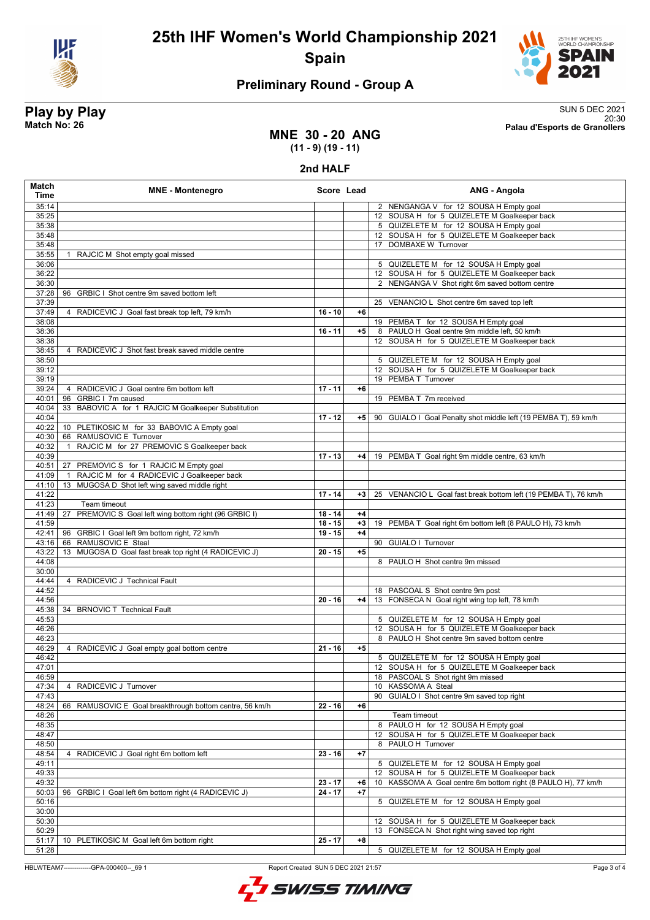



## **Preliminary Round - Group A**

**Play by Play**<br>Match No: 26<br>Palau d'Esports de Granollers 20:30 **Match No: 26 Palau d'Esports de Granollers**

## **MNE 30 - 20 ANG (11 - 9) (19 - 11)**

### **2nd HALF**

| <b>Match</b><br>Time | <b>MNE - Montenegro</b>                                      |           | Score Lead | ANG - Angola                                                                                   |
|----------------------|--------------------------------------------------------------|-----------|------------|------------------------------------------------------------------------------------------------|
| 35:14                |                                                              |           |            | 2 NENGANGA V for 12 SOUSA H Empty goal                                                         |
| 35:25                |                                                              |           |            | 12 SOUSA H for 5 QUIZELETE M Goalkeeper back                                                   |
| 35:38                |                                                              |           |            | 5 QUIZELETE M for 12 SOUSA H Empty goal                                                        |
| 35:48                |                                                              |           |            | 12 SOUSA H for 5 QUIZELETE M Goalkeeper back                                                   |
| 35:48                |                                                              |           |            | 17 DOMBAXE W Turnover                                                                          |
| 35:55                | 1 RAJCIC M Shot empty goal missed                            |           |            |                                                                                                |
| 36:06                |                                                              |           |            | 5 QUIZELETE M for 12 SOUSA H Empty goal                                                        |
| 36:22<br>36:30       |                                                              |           |            | 12 SOUSA H for 5 QUIZELETE M Goalkeeper back<br>2 NENGANGA V Shot right 6m saved bottom centre |
| 37:28                | 96<br>GRBIC I Shot centre 9m saved bottom left               |           |            |                                                                                                |
| 37:39                |                                                              |           |            | 25 VENANCIO L Shot centre 6m saved top left                                                    |
| 37:49                | 4 RADICEVIC J Goal fast break top left, 79 km/h              | $16 - 10$ | $+6$       |                                                                                                |
| 38:08                |                                                              |           |            | 19 PEMBA T for 12 SOUSA H Empty goal                                                           |
| 38:36                |                                                              | $16 - 11$ | $+5$       | 8 PAULO H Goal centre 9m middle left, 50 km/h                                                  |
| 38:38                |                                                              |           |            | 12 SOUSA H for 5 QUIZELETE M Goalkeeper back                                                   |
| 38:45                | 4 RADICEVIC J Shot fast break saved middle centre            |           |            |                                                                                                |
| 38:50                |                                                              |           |            | 5 QUIZELETE M for 12 SOUSA H Empty goal                                                        |
| 39:12                |                                                              |           |            | 12 SOUSA H for 5 QUIZELETE M Goalkeeper back                                                   |
| 39:19<br>39:24       | 4 RADICEVIC J Goal centre 6m bottom left                     | $17 - 11$ | $+6$       | 19 PEMBA T Turnover                                                                            |
| 40:01                | GRBIC   7m caused<br>96                                      |           |            | 19 PEMBA T 7m received                                                                         |
| 40:04                | 33 BABOVIC A for 1 RAJCIC M Goalkeeper Substitution          |           |            |                                                                                                |
| 40:04                |                                                              | $17 - 12$ | +5         | 90 GUIALO I Goal Penalty shot middle left (19 PEMBA T), 59 km/h                                |
| 40:22                | 10 PLETIKOSIC M for 33 BABOVIC A Empty goal                  |           |            |                                                                                                |
| 40:30                | RAMUSOVIC E Turnover<br>66                                   |           |            |                                                                                                |
| 40:32                | RAJCIC M for 27 PREMOVIC S Goalkeeper back                   |           |            |                                                                                                |
| 40:39                |                                                              | $17 - 13$ | $+4$       | 19 PEMBA T Goal right 9m middle centre, 63 km/h                                                |
| 40:51                | 27 PREMOVIC S for 1 RAJCIC M Empty goal                      |           |            |                                                                                                |
| 41:09                | RAJCIC M for 4 RADICEVIC J Goalkeeper back<br>$\overline{1}$ |           |            |                                                                                                |
| 41:10<br>41:22       | MUGOSA D Shot left wing saved middle right<br>13             | $17 - 14$ | $+3$       | 25 VENANCIO L Goal fast break bottom left (19 PEMBA T), 76 km/h                                |
| 41:23                | Team timeout                                                 |           |            |                                                                                                |
| 41:49                | PREMOVIC S Goal left wing bottom right (96 GRBIC I)<br>27    | $18 - 14$ | $+4$       |                                                                                                |
| 41:59                |                                                              | $18 - 15$ | $+3$       | 19 PEMBA T Goal right 6m bottom left (8 PAULO H), 73 km/h                                      |
| 42:41                | 96 GRBIC I Goal left 9m bottom right, 72 km/h                | $19 - 15$ | $+4$       |                                                                                                |
| 43:16                | 66 RAMUSOVIC E Steal                                         |           |            | 90 GUIALO I Turnover                                                                           |
| 43:22                | 13 MUGOSA D Goal fast break top right (4 RADICEVIC J)        | $20 - 15$ | $+5$       |                                                                                                |
| 44:08<br>30:00       |                                                              |           |            | 8 PAULO H Shot centre 9m missed                                                                |
| 44:44                | 4 RADICEVIC J Technical Fault                                |           |            |                                                                                                |
| 44:52                |                                                              |           |            | 18 PASCOAL S Shot centre 9m post                                                               |
| 44:56                |                                                              | $20 - 16$ | $+4$       | 13 FONSECA N Goal right wing top left, 78 km/h                                                 |
| 45:38                | 34 BRNOVIC T Technical Fault                                 |           |            |                                                                                                |
| 45:53                |                                                              |           |            | 5 QUIZELETE M for 12 SOUSA H Empty goal                                                        |
| 46:26                |                                                              |           |            | 12 SOUSA H for 5 QUIZELETE M Goalkeeper back                                                   |
| 46:23                |                                                              |           |            | 8 PAULO H Shot centre 9m saved bottom centre                                                   |
| 46:29<br>46:42       | 4 RADICEVIC J Goal empty goal bottom centre                  | $21 - 16$ | $+5$       |                                                                                                |
| 47:01                |                                                              |           |            | 5 QUIZELETE M for 12 SOUSA H Empty goal<br>12 SOUSA H for 5 QUIZELETE M Goalkeeper back        |
| 46:59                |                                                              |           |            | 18 PASCOAL S Shot right 9m missed                                                              |
| 47:34                | 4 RADICEVIC J Turnover                                       |           |            | 10 KASSOMA A Steal                                                                             |
| 47:43                |                                                              |           |            | GUIALO I Shot centre 9m saved top right<br>90                                                  |
| 48:24                | 66 RAMUSOVIC E Goal breakthrough bottom centre, 56 km/h      | $22 - 16$ | $+6$       |                                                                                                |
| 48:26                |                                                              |           |            | Team timeout                                                                                   |
| 48:35                |                                                              |           |            | 8 PAULO H for 12 SOUSA H Empty goal                                                            |
| 48:47                |                                                              |           |            | 12 SOUSA H for 5 QUIZELETE M Goalkeeper back                                                   |
| 48:50                |                                                              |           |            | 8 PAULO H Turnover                                                                             |
| 48:54<br>49:11       | 4 RADICEVIC J Goal right 6m bottom left                      | $23 - 16$ | $+7$       | 5 QUIZELETE M for 12 SOUSA H Empty goal                                                        |
| 49:33                |                                                              |           |            | SOUSA H for 5 QUIZELETE M Goalkeeper back<br>12                                                |
| 49:32                |                                                              | $23 - 17$ | +6         | KASSOMA A Goal centre 6m bottom right (8 PAULO H), 77 km/h<br>10                               |
| 50:03                | 96 GRBIC I Goal left 6m bottom right (4 RADICEVIC J)         | $24 - 17$ | $+7$       |                                                                                                |
| 50:16                |                                                              |           |            | 5 QUIZELETE M for 12 SOUSA H Empty goal                                                        |
| 30:00                |                                                              |           |            |                                                                                                |
| 50:30                |                                                              |           |            | 12 SOUSA H for 5 QUIZELETE M Goalkeeper back                                                   |
| 50:29                |                                                              |           |            | 13 FONSECA N Shot right wing saved top right                                                   |
| 51:17                | 10 PLETIKOSIC M Goal left 6m bottom right                    | $25 - 17$ | +8         |                                                                                                |
| 51:28                |                                                              |           |            | 5 QUIZELETE M for 12 SOUSA H Empty goal                                                        |